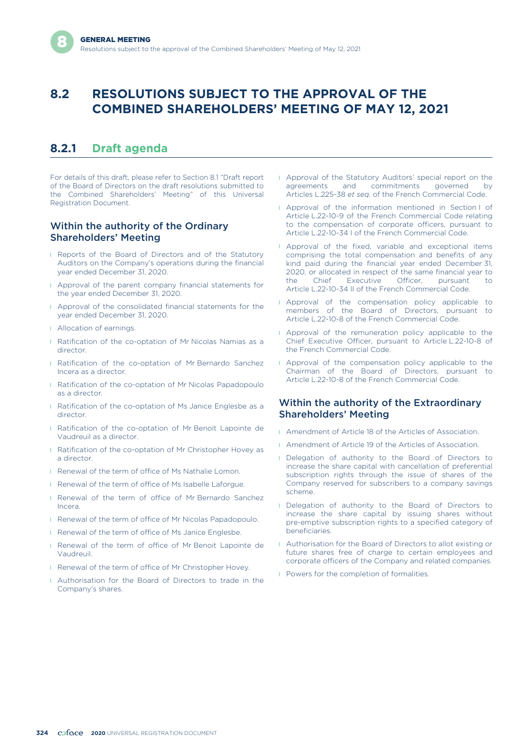# **8.2 RESOLUTIONS SUBJECT TO THE APPROVAL OF THE COMBINED SHAREHOLDERS' MEETING OF MAY 12, 2021**

# **8.2.1 Draft agenda**

For details of this draft, please refer to Section 8.1 "Draft report of the Board of Directors on the draft resolutions submitted to the Combined Shareholders' Meeting" of this Universal Registration Document.

### Within the authority of the Ordinary Shareholders' Meeting

- **I** Reports of the Board of Directors and of the Statutory Auditors on the Company's operations during the financial year ended December 31, 2020.
- **I** Approval of the parent company financial statements for the year ended December 31, 2020.
- l Approval of the consolidated financial statements for the year ended December 31, 2020.
- **I** Allocation of earnings.
- **I** Ratification of the co-optation of Mr Nicolas Namias as a director.
- **I** Ratification of the co-optation of Mr Bernardo Sanchez Incera as a director.
- **Ratification of the co-optation of Mr Nicolas Papadopoulo** as a director.
- **I** Ratification of the co-optation of Ms Janice Englesbe as a director.
- l Ratification of the co-optation of Mr Benoit Lapointe de Vaudreuil as a director.
- **I** Ratification of the co-optation of Mr Christopher Hovey as a director.
- **I** Renewal of the term of office of Ms Nathalie Lomon.
- **I** Renewal of the term of office of Ms Isabelle Laforgue.
- **I** Renewal of the term of office of Mr Bernardo Sanchez Incera.
- **I** Renewal of the term of office of Mr Nicolas Papadopoulo.
- **Renewal of the term of office of Ms Janice Englesbe.**
- **I** Renewal of the term of office of Mr Benoit Lapointe de Vaudreuil.
- **Renewal of the term of office of Mr Christopher Hovey.**
- l Authorisation for the Board of Directors to trade in the Company's shares.
- **I** Approval of the Statutory Auditors' special report on the agreements and commitments governed by Articles L.225-38 *et seq.* of the French Commercial Code.
- l Approval of the information mentioned in Section I of Article L.22-10-9 of the French Commercial Code relating to the compensation of corporate officers, pursuant to Article L.22-10-34 I of the French Commercial Code.
- **I** Approval of the fixed, variable and exceptional items comprising the total compensation and benefits of any kind paid during the financial year ended December 31, 2020, or allocated in respect of the same financial year to the Chief Executive Officer, pursuant to Article L.22-10-34 II of the French Commercial Code.
- **I** Approval of the compensation policy applicable to members of the Board of Directors, pursuant to Article L.22-10-8 of the French Commercial Code.
- **I** Approval of the remuneration policy applicable to the Chief Executive Officer, pursuant to Article L.22-10-8 of the French Commercial Code.
- **I** Approval of the compensation policy applicable to the Chairman of the Board of Directors, pursuant to Article L.22-10-8 of the French Commercial Code.

#### Within the authority of the Extraordinary Shareholders' Meeting

- **I** Amendment of Article 18 of the Articles of Association.
- **I** Amendment of Article 19 of the Articles of Association.
- **I** Delegation of authority to the Board of Directors to increase the share capital with cancellation of preferential subscription rights through the issue of shares of the Company reserved for subscribers to a company savings scheme.
- **I** Delegation of authority to the Board of Directors to increase the share capital by issuing shares without pre-emptive subscription rights to a specified category of beneficiaries.
- l Authorisation for the Board of Directors to allot existing or future shares free of charge to certain employees and corporate officers of the Company and related companies.
- **I** Powers for the completion of formalities.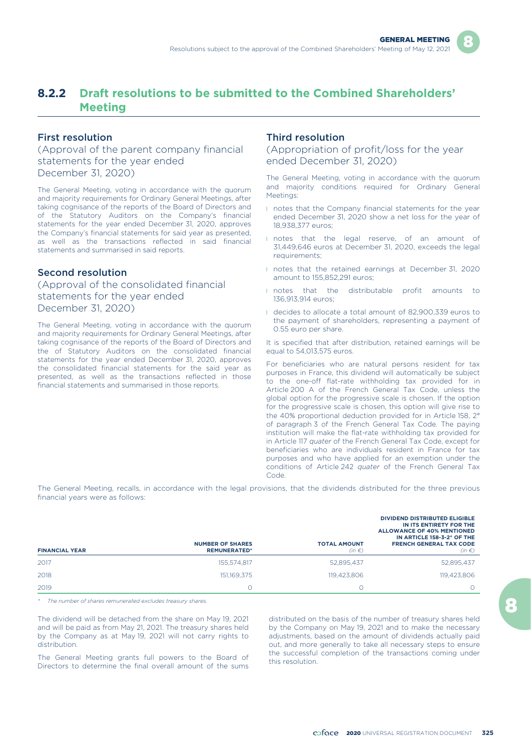# **8.2.2 Draft resolutions to be submitted to the Combined Shareholders' Meeting**

#### First resolution

(Approval of the parent company financial statements for the year ended December 31, 2020)

The General Meeting, voting in accordance with the quorum and majority requirements for Ordinary General Meetings, after taking cognisance of the reports of the Board of Directors and of the Statutory Auditors on the Company's financial statements for the year ended December 31, 2020, approves the Company's financial statements for said year as presented, as well as the transactions reflected in said financial statements and summarised in said reports.

#### Second resolution

## (Approval of the consolidated financial statements for the year ended December 31, 2020)

The General Meeting, voting in accordance with the quorum and majority requirements for Ordinary General Meetings, after taking cognisance of the reports of the Board of Directors and the of Statutory Auditors on the consolidated financial statements for the year ended December 31, 2020, approves the consolidated financial statements for the said year as presented, as well as the transactions reflected in those financial statements and summarised in those reports.

#### Third resolution

(Appropriation of profit/loss for the year ended December 31, 2020)

The General Meeting, voting in accordance with the quorum and majority conditions required for Ordinary General Meetings:

- **I** notes that the Company financial statements for the year ended December 31, 2020 show a net loss for the year of 18,938,377 euros;
- **I** notes that the legal reserve, of an amount of 31,449,646 euros at December 31, 2020, exceeds the legal requirements;
- **n** notes that the retained earnings at December 31, 2020 amount to 155,852,291 euros;
- **I** notes that the distributable profit amounts to 136,913,914 euros;
- l decides to allocate a total amount of 82,900,339 euros to the payment of shareholders, representing a payment of 0.55 euro per share.

It is specified that after distribution, retained earnings will be equal to 54,013,575 euros.

For beneficiaries who are natural persons resident for tax purposes in France, this dividend will automatically be subject to the one-off flat-rate withholding tax provided for in Article 200 A of the French General Tax Code, unless the global option for the progressive scale is chosen. If the option for the progressive scale is chosen, this option will give rise to the 40% proportional deduction provided for in Article 158, 2° of paragraph 3 of the French General Tax Code. The paying institution will make the flat-rate withholding tax provided for in Article 117 *quater* of the French General Tax Code, except for beneficiaries who are individuals resident in France for tax purposes and who have applied for an exemption under the conditions of Article 242 *quater* of the French General Tax Code.

The General Meeting, recalls, in accordance with the legal provisions, that the dividends distributed for the three previous financial years were as follows:

| <b>FINANCIAL YEAR</b> | <b>NUMBER OF SHARES</b><br><b>REMUNERATED*</b> | <b>TOTAL AMOUNT</b><br>$(in \in)$ | <b>DIVIDEND DISTRIBUTED ELIGIBLE</b><br>IN ITS ENTIRETY FOR THE<br><b>ALLOWANCE OF 40% MENTIONED</b><br>IN ARTICLE 158-3-2° OF THE<br><b>FRENCH GENERAL TAX CODE</b><br>$(in \in)$ |
|-----------------------|------------------------------------------------|-----------------------------------|------------------------------------------------------------------------------------------------------------------------------------------------------------------------------------|
| 2017                  | 155.574.817                                    | 52,895,437                        | 52,895,437                                                                                                                                                                         |
| 2018                  | 151.169.375                                    | 119.423.806                       | 119.423.806                                                                                                                                                                        |
| 2019                  |                                                |                                   |                                                                                                                                                                                    |

*\* The number of shares remunerated excludes treasury shares.*

The dividend will be detached from the share on May 19, 2021 and will be paid as from May 21, 2021. The treasury shares held by the Company as at May 19, 2021 will not carry rights to distribution.

distributed on the basis of the number of treasury shares held by the Company on May 19, 2021 and to make the necessary adjustments, based on the amount of dividends actually paid out, and more generally to take all necessary steps to ensure The General Meeting grants full powers to the Board of the successful completion of the transactions coming under Directors to determine the final overall amount of the sums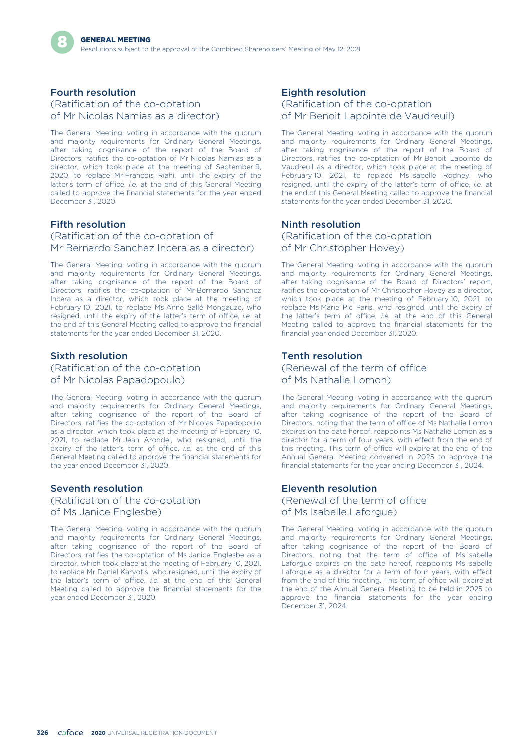## Fourth resolution

(Ratification of the co-optation of Mr Nicolas Namias as a director)

The General Meeting, voting in accordance with the quorum and majority requirements for Ordinary General Meetings, after taking cognisance of the report of the Board of Directors, ratifies the co-optation of Mr Nicolas Namias as a director, which took place at the meeting of September 9, 2020, to replace Mr François Riahi, until the expiry of the latter's term of office, *i.e.* at the end of this General Meeting called to approve the financial statements for the year ended December 31, 2020.

#### Fifth resolution

(Ratification of the co-optation of Mr Bernardo Sanchez Incera as a director)

The General Meeting, voting in accordance with the quorum and majority requirements for Ordinary General Meetings, after taking cognisance of the report of the Board of Directors, ratifies the co-optation of Mr Bernardo Sanchez Incera as a director, which took place at the meeting of February 10, 2021, to replace Ms Anne Sallé Mongauze, who resigned, until the expiry of the latter's term of office, *i.e.* at the end of this General Meeting called to approve the financial statements for the year ended December 31, 2020.

#### Sixth resolution

(Ratification of the co-optation of Mr Nicolas Papadopoulo)

The General Meeting, voting in accordance with the quorum and majority requirements for Ordinary General Meetings, after taking cognisance of the report of the Board of Directors, ratifies the co-optation of Mr Nicolas Papadopoulo as a director, which took place at the meeting of February 10, 2021, to replace Mr Jean Arondel, who resigned, until the expiry of the latter's term of office, *i.e.* at the end of this General Meeting called to approve the financial statements for the year ended December 31, 2020.

#### Seventh resolution (Ratification of the co-optation of Ms Janice Englesbe)

The General Meeting, voting in accordance with the quorum and majority requirements for Ordinary General Meetings, after taking cognisance of the report of the Board of Directors, ratifies the co-optation of Ms Janice Englesbe as a director, which took place at the meeting of February 10, 2021, to replace Mr Daniel Karyotis, who resigned, until the expiry of the latter's term of office, *i.e.* at the end of this General Meeting called to approve the financial statements for the year ended December 31, 2020.

## Eighth resolution

#### (Ratification of the co-optation of Mr Benoit Lapointe de Vaudreuil)

The General Meeting, voting in accordance with the quorum and majority requirements for Ordinary General Meetings, after taking cognisance of the report of the Board of Directors, ratifies the co-optation of Mr Benoit Lapointe de Vaudreuil as a director, which took place at the meeting of February 10, 2021, to replace Ms Isabelle Rodney, who resigned, until the expiry of the latter's term of office, *i.e.* at the end of this General Meeting called to approve the financial statements for the year ended December 31, 2020.

#### Ninth resolution

(Ratification of the co-optation of Mr Christopher Hovey)

The General Meeting, voting in accordance with the quorum and majority requirements for Ordinary General Meetings, after taking cognisance of the Board of Directors' report, ratifies the co-optation of Mr Christopher Hovey as a director, which took place at the meeting of February 10, 2021, to replace Ms Marie Pic Paris, who resigned, until the expiry of the latter's term of office, *i.e.* at the end of this General Meeting called to approve the financial statements for the financial year ended December 31, 2020.

#### Tenth resolution

(Renewal of the term of office of Ms Nathalie Lomon)

The General Meeting, voting in accordance with the quorum and majority requirements for Ordinary General Meetings, after taking cognisance of the report of the Board of Directors, noting that the term of office of Ms Nathalie Lomon expires on the date hereof, reappoints Ms Nathalie Lomon as a director for a term of four years, with effect from the end of this meeting. This term of office will expire at the end of the Annual General Meeting convened in 2025 to approve the financial statements for the year ending December 31, 2024.

#### Eleventh resolution

(Renewal of the term of office of Ms Isabelle Laforgue)

The General Meeting, voting in accordance with the quorum and majority requirements for Ordinary General Meetings, after taking cognisance of the report of the Board of Directors, noting that the term of office of Ms Isabelle Laforgue expires on the date hereof, reappoints Ms Isabelle Laforgue as a director for a term of four years, with effect from the end of this meeting. This term of office will expire at the end of the Annual General Meeting to be held in 2025 to approve the financial statements for the year ending December 31, 2024.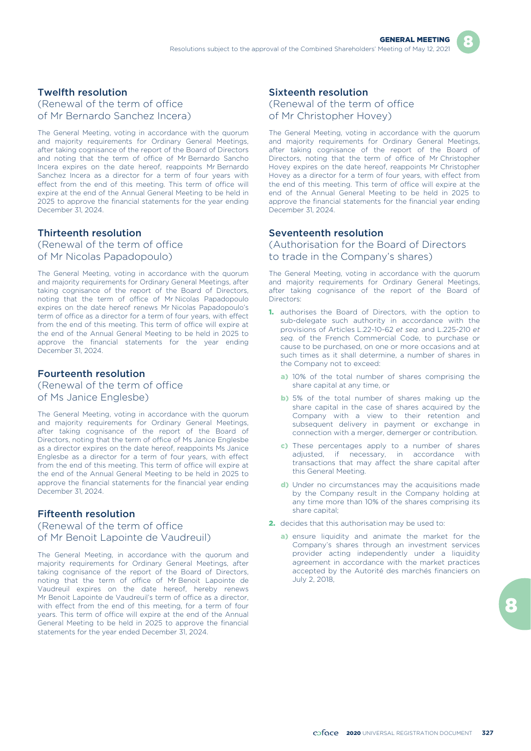## Twelfth resolution

(Renewal of the term of office of Mr Bernardo Sanchez Incera)

The General Meeting, voting in accordance with the quorum and majority requirements for Ordinary General Meetings, after taking cognisance of the report of the Board of Directors and noting that the term of office of Mr Bernardo Sancho Incera expires on the date hereof, reappoints Mr Bernardo Sanchez Incera as a director for a term of four years with effect from the end of this meeting. This term of office will expire at the end of the Annual General Meeting to be held in 2025 to approve the financial statements for the year ending December 31, 2024.

## Thirteenth resolution

(Renewal of the term of office of Mr Nicolas Papadopoulo)

The General Meeting, voting in accordance with the quorum and majority requirements for Ordinary General Meetings, after taking cognisance of the report of the Board of Directors, noting that the term of office of Mr Nicolas Papadopoulo expires on the date hereof renews Mr Nicolas Papadopoulo's term of office as a director for a term of four years, with effect from the end of this meeting. This term of office will expire at the end of the Annual General Meeting to be held in 2025 to approve the financial statements for the year ending December 31, 2024.

### Fourteenth resolution

(Renewal of the term of office of Ms Janice Englesbe)

The General Meeting, voting in accordance with the quorum and majority requirements for Ordinary General Meetings, after taking cognisance of the report of the Board of Directors, noting that the term of office of Ms Janice Englesbe as a director expires on the date hereof, reappoints Ms Janice Englesbe as a director for a term of four years, with effect from the end of this meeting. This term of office will expire at the end of the Annual General Meeting to be held in 2025 to approve the financial statements for the financial year ending December 31, 2024.

## Fifteenth resolution

(Renewal of the term of office of Mr Benoit Lapointe de Vaudreuil)

The General Meeting, in accordance with the quorum and majority requirements for Ordinary General Meetings, after taking cognisance of the report of the Board of Directors, noting that the term of office of Mr Benoit Lapointe de Vaudreuil expires on the date hereof, hereby renews Mr Benoit Lapointe de Vaudreuil's term of office as a director, with effect from the end of this meeting, for a term of four years. This term of office will expire at the end of the Annual General Meeting to be held in 2025 to approve the financial statements for the year ended December 31, 2024.

## Sixteenth resolution

(Renewal of the term of office of Mr Christopher Hovey)

The General Meeting, voting in accordance with the quorum and majority requirements for Ordinary General Meetings, after taking cognisance of the report of the Board of Directors, noting that the term of office of Mr Christopher Hovey expires on the date hereof, reappoints Mr Christopher Hovey as a director for a term of four years, with effect from the end of this meeting. This term of office will expire at the end of the Annual General Meeting to be held in 2025 to approve the financial statements for the financial year ending December 31, 2024.

#### Seventeenth resolution

(Authorisation for the Board of Directors to trade in the Company's shares)

The General Meeting, voting in accordance with the quorum and majority requirements for Ordinary General Meetings, after taking cognisance of the report of the Board of Directors:

- 1. authorises the Board of Directors, with the option to sub-delegate such authority in accordance with the provisions of Articles L.22-10-62 *et seq.* and L.225-210 *et seq.* of the French Commercial Code, to purchase or cause to be purchased, on one or more occasions and at such times as it shall determine, a number of shares in the Company not to exceed:
	- a) 10% of the total number of shares comprising the share capital at any time, or
	- b) 5% of the total number of shares making up the share capital in the case of shares acquired by the Company with a view to their retention and subsequent delivery in payment or exchange in connection with a merger, demerger or contribution.
	- c) These percentages apply to a number of shares adjusted, if necessary, in accordance with transactions that may affect the share capital after this General Meeting.
	- d) Under no circumstances may the acquisitions made by the Company result in the Company holding at any time more than 10% of the shares comprising its share capital;
- 2. decides that this authorisation may be used to:
	- a) ensure liquidity and animate the market for the Company's shares through an investment services provider acting independently under a liquidity agreement in accordance with the market practices accepted by the Autorité des marchés financiers on July 2, 2018,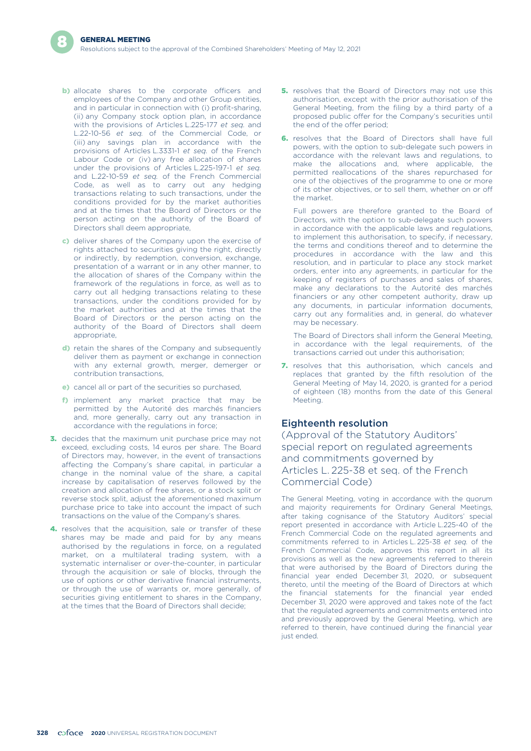- **b)** allocate shares to the corporate officers and employees of the Company and other Group entities, and in particular in connection with (i) profit-sharing, (ii) any Company stock option plan, in accordance with the provisions of Articles L.225-177 *et seq.* and L.22-10-56 *et seq.* of the Commercial Code, or (iii) any savings plan in accordance with the provisions of Articles L.3331-1 *et seq.* of the French Labour Code or (iv) any free allocation of shares under the provisions of Articles L.225-197-1 *et seq.* and L.22-10-59 *et seq.* of the French Commercial Code, as well as to carry out any hedging transactions relating to such transactions, under the conditions provided for by the market authorities and at the times that the Board of Directors or the person acting on the authority of the Board of Directors shall deem appropriate,
- c) deliver shares of the Company upon the exercise of rights attached to securities giving the right, directly or indirectly, by redemption, conversion, exchange, presentation of a warrant or in any other manner, to the allocation of shares of the Company within the framework of the regulations in force, as well as to carry out all hedging transactions relating to these transactions, under the conditions provided for by the market authorities and at the times that the Board of Directors or the person acting on the authority of the Board of Directors shall deem appropriate,
- d) retain the shares of the Company and subsequently deliver them as payment or exchange in connection with any external growth, merger, demerger or contribution transactions,
- e) cancel all or part of the securities so purchased,
- f) implement any market practice that may be permitted by the Autorité des marchés financiers and, more generally, carry out any transaction in accordance with the regulations in force;
- 3. decides that the maximum unit purchase price may not exceed, excluding costs, 14 euros per share. The Board of Directors may, however, in the event of transactions affecting the Company's share capital, in particular a change in the nominal value of the share, a capital increase by capitalisation of reserves followed by the creation and allocation of free shares, or a stock split or reverse stock split, adjust the aforementioned maximum purchase price to take into account the impact of such transactions on the value of the Company's shares.
- 4. resolves that the acquisition, sale or transfer of these shares may be made and paid for by any means authorised by the regulations in force, on a regulated market, on a multilateral trading system, with a systematic internaliser or over-the-counter, in particular through the acquisition or sale of blocks, through the use of options or other derivative financial instruments, or through the use of warrants or, more generally, of securities giving entitlement to shares in the Company, at the times that the Board of Directors shall decide;
- **5.** resolves that the Board of Directors may not use this authorisation, except with the prior authorisation of the General Meeting, from the filing by a third party of a proposed public offer for the Company's securities until the end of the offer period;
- **6.** resolves that the Board of Directors shall have full powers, with the option to sub-delegate such powers in accordance with the relevant laws and regulations, to make the allocations and, where applicable, the permitted reallocations of the shares repurchased for one of the objectives of the programme to one or more of its other objectives, or to sell them, whether on or off the market.

Full powers are therefore granted to the Board of Directors, with the option to sub-delegate such powers in accordance with the applicable laws and regulations, to implement this authorisation, to specify, if necessary, the terms and conditions thereof and to determine the procedures in accordance with the law and this resolution, and in particular to place any stock market orders, enter into any agreements, in particular for the keeping of registers of purchases and sales of shares, make any declarations to the Autorité des marchés financiers or any other competent authority, draw up any documents, in particular information documents, carry out any formalities and, in general, do whatever may be necessary.

The Board of Directors shall inform the General Meeting, in accordance with the legal requirements, of the transactions carried out under this authorisation;

7. resolves that this authorisation, which cancels and replaces that granted by the fifth resolution of the General Meeting of May 14, 2020, is granted for a period of eighteen (18) months from the date of this General Meeting.

#### Eighteenth resolution

(Approval of the Statutory Auditors' special report on regulated agreements and commitments governed by Articles L. 225-38 et seq. of the French Commercial Code)

The General Meeting, voting in accordance with the quorum and majority requirements for Ordinary General Meetings, after taking cognisance of the Statutory Auditors' special report presented in accordance with Article L.225-40 of the French Commercial Code on the regulated agreements and commitments referred to in Articles L. 225-38 *et seq.* of the French Commercial Code, approves this report in all its provisions as well as the new agreements referred to therein that were authorised by the Board of Directors during the financial year ended December 31, 2020, or subsequent thereto, until the meeting of the Board of Directors at which the financial statements for the financial year ended December 31, 2020 were approved and takes note of the fact that the regulated agreements and commitments entered into and previously approved by the General Meeting, which are referred to therein, have continued during the financial year just ended.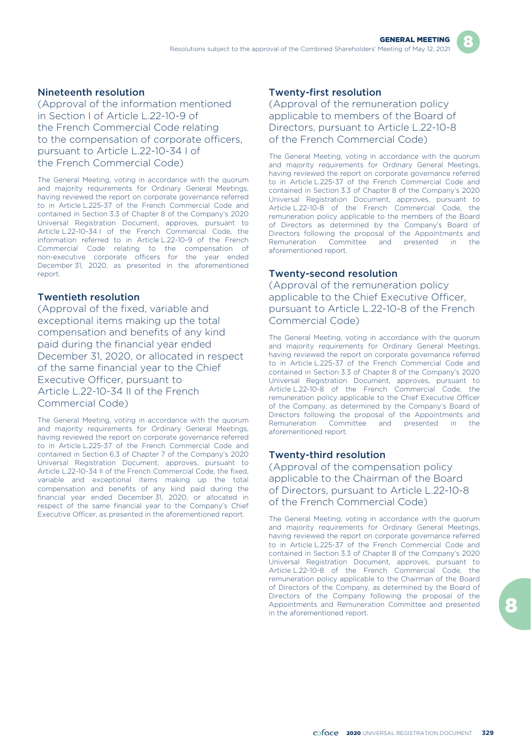### Nineteenth resolution

(Approval of the information mentioned in Section I of Article L.22-10-9 of the French Commercial Code relating to the compensation of corporate officers, pursuant to Article L.22-10-34 I of the French Commercial Code)

The General Meeting, voting in accordance with the quorum and majority requirements for Ordinary General Meetings, having reviewed the report on corporate governance referred to in Article L.225-37 of the French Commercial Code and contained in Section 3.3 of Chapter 8 of the Company's 2020 Universal Registration Document, approves, pursuant to Article L.22-10-34 I of the French Commercial Code, the information referred to in Article L.22-10-9 of the French Commercial Code relating to the compensation of non-executive corporate officers for the year ended December 31, 2020, as presented in the aforementioned report.

#### Twentieth resolution

(Approval of the fixed, variable and exceptional items making up the total compensation and benefits of any kind paid during the financial year ended December 31, 2020, or allocated in respect of the same financial year to the Chief Executive Officer, pursuant to Article L.22-10-34 II of the French Commercial Code)

The General Meeting, voting in accordance with the quorum and majority requirements for Ordinary General Meetings, having reviewed the report on corporate governance referred to in Article L.225-37 of the French Commercial Code and contained in Section 6.3 of Chapter 7 of the Company's 2020 Universal Registration Document, approves, pursuant to Article L.22-10-34 II of the French Commercial Code, the fixed, variable and exceptional items making up the total compensation and benefits of any kind paid during the financial year ended December 31, 2020, or allocated in respect of the same financial year to the Company's Chief Executive Officer, as presented in the aforementioned report.

## Twenty-first resolution

(Approval of the remuneration policy applicable to members of the Board of Directors, pursuant to Article L.22-10-8 of the French Commercial Code)

The General Meeting, voting in accordance with the quorum and majority requirements for Ordinary General Meetings, having reviewed the report on corporate governance referred to in Article L.225-37 of the French Commercial Code and contained in Section 3.3 of Chapter 8 of the Company's 2020 Universal Registration Document, approves, pursuant to Article L.22-10-8 of the French Commercial Code, the remuneration policy applicable to the members of the Board of Directors as determined by the Company's Board of Directors following the proposal of the Appointments and Remuneration Committee and presented in the aforementioned report.

#### Twenty-second resolution

(Approval of the remuneration policy applicable to the Chief Executive Officer, pursuant to Article L.22-10-8 of the French Commercial Code)

The General Meeting, voting in accordance with the quorum and majority requirements for Ordinary General Meetings, having reviewed the report on corporate governance referred to in Article L.225-37 of the French Commercial Code and contained in Section 3.3 of Chapter 8 of the Company's 2020 Universal Registration Document, approves, pursuant to Article L.22-10-8 of the French Commercial Code, the remuneration policy applicable to the Chief Executive Officer of the Company, as determined by the Company's Board of Directors following the proposal of the Appointments and Remuneration Committee and presented in the aforementioned report.

## Twenty-third resolution

(Approval of the compensation policy applicable to the Chairman of the Board of Directors, pursuant to Article L.22-10-8 of the French Commercial Code)

The General Meeting, voting in accordance with the quorum and majority requirements for Ordinary General Meetings, having reviewed the report on corporate governance referred to in Article L.225-37 of the French Commercial Code and contained in Section 3.3 of Chapter 8 of the Company's 2020 Universal Registration Document, approves, pursuant to Article L.22-10-8 of the French Commercial Code, the remuneration policy applicable to the Chairman of the Board of Directors of the Company, as determined by the Board of Directors of the Company following the proposal of the Appointments and Remuneration Committee and presented in the aforementioned report.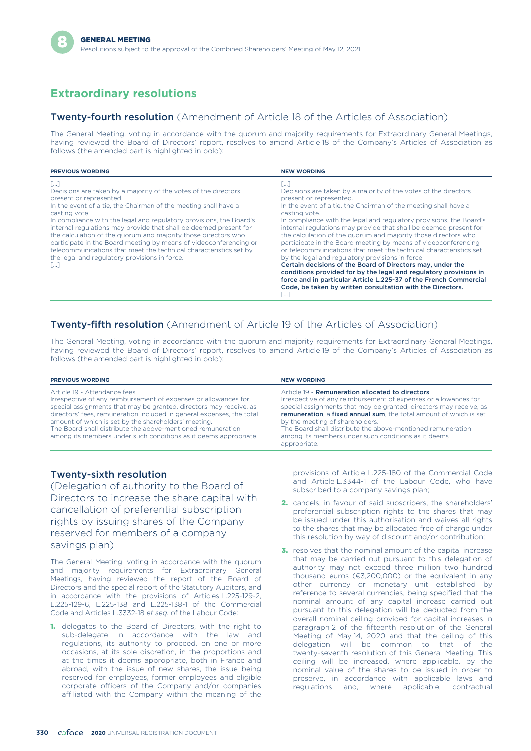# **Extraordinary resolutions**

#### **Twenty-fourth resolution** (Amendment of Article 18 of the Articles of Association)

The General Meeting, voting in accordance with the quorum and majority requirements for Extraordinary General Meetings, having reviewed the Board of Directors' report, resolves to amend Article 18 of the Company's Articles of Association as follows (the amended part is highlighted in bold):

| <b>PREVIOUS WORDING</b>                                                                                                                                                                                                                                                                                                                                                                                                                                                                                                                                                                               | <b>NEW WORDING</b>                                                                                                                                                                                                                                                                                                                                                                                                                                                                                                                                                                                                                                                                                                                                                                                                                                                          |
|-------------------------------------------------------------------------------------------------------------------------------------------------------------------------------------------------------------------------------------------------------------------------------------------------------------------------------------------------------------------------------------------------------------------------------------------------------------------------------------------------------------------------------------------------------------------------------------------------------|-----------------------------------------------------------------------------------------------------------------------------------------------------------------------------------------------------------------------------------------------------------------------------------------------------------------------------------------------------------------------------------------------------------------------------------------------------------------------------------------------------------------------------------------------------------------------------------------------------------------------------------------------------------------------------------------------------------------------------------------------------------------------------------------------------------------------------------------------------------------------------|
| T1<br>Decisions are taken by a majority of the votes of the directors<br>present or represented.<br>In the event of a tie, the Chairman of the meeting shall have a<br>casting vote.<br>In compliance with the legal and regulatory provisions, the Board's<br>internal regulations may provide that shall be deemed present for<br>the calculation of the quorum and majority those directors who<br>participate in the Board meeting by means of videoconferencing or<br>telecommunications that meet the technical characteristics set by<br>the legal and regulatory provisions in force.<br>السا | TT<br>Decisions are taken by a majority of the votes of the directors<br>present or represented.<br>In the event of a tie, the Chairman of the meeting shall have a<br>casting vote.<br>In compliance with the legal and regulatory provisions, the Board's<br>internal regulations may provide that shall be deemed present for<br>the calculation of the quorum and majority those directors who<br>participate in the Board meeting by means of videoconferencing<br>or telecommunications that meet the technical characteristics set<br>by the legal and regulatory provisions in force.<br>Certain decisions of the Board of Directors may, under the<br>conditions provided for by the legal and regulatory provisions in<br>force and in particular Article L.225-37 of the French Commercial<br>Code, be taken by written consultation with the Directors.<br>السا |

## **Twenty-fifth resolution** (Amendment of Article 19 of the Articles of Association)

The General Meeting, voting in accordance with the quorum and majority requirements for Extraordinary General Meetings, having reviewed the Board of Directors' report, resolves to amend Article 19 of the Company's Articles of Association as follows (the amended part is highlighted in bold):

| <b>PREVIOUS WORDING</b>                                                                                                                                                                                                                                                                                                                                                                                                                   | <b>NEW WORDING</b>                                                                                                                                                                                                                                                                                                                                                                                                                       |
|-------------------------------------------------------------------------------------------------------------------------------------------------------------------------------------------------------------------------------------------------------------------------------------------------------------------------------------------------------------------------------------------------------------------------------------------|------------------------------------------------------------------------------------------------------------------------------------------------------------------------------------------------------------------------------------------------------------------------------------------------------------------------------------------------------------------------------------------------------------------------------------------|
| Article 19 - Attendance fees<br>Irrespective of any reimbursement of expenses or allowances for<br>special assignments that may be granted, directors may receive, as<br>directors' fees, remuneration included in general expenses, the total<br>amount of which is set by the shareholders' meeting.<br>The Board shall distribute the above-mentioned remuneration<br>among its members under such conditions as it deems appropriate. | Article 19 - Remuneration allocated to directors<br>Irrespective of any reimbursement of expenses or allowances for<br>special assignments that may be granted, directors may receive, as<br>remuneration, a fixed annual sum, the total amount of which is set<br>by the meeting of shareholders.<br>The Board shall distribute the above-mentioned remuneration<br>among its members under such conditions as it deems<br>appropriate. |

#### Twenty-sixth resolution

(Delegation of authority to the Board of Directors to increase the share capital with cancellation of preferential subscription rights by issuing shares of the Company reserved for members of a company savings plan)

The General Meeting, voting in accordance with the quorum and majority requirements for Extraordinary General Meetings, having reviewed the report of the Board of Directors and the special report of the Statutory Auditors, and in accordance with the provisions of Articles L.225-129-2, L.225-129-6, L.225-138 and L.225-138-1 of the Commercial Code and Articles L.3332-18 *et seq.* of the Labour Code:

1. delegates to the Board of Directors, with the right to sub-delegate in accordance with the law and regulations, its authority to proceed, on one or more occasions, at its sole discretion, in the proportions and at the times it deems appropriate, both in France and abroad, with the issue of new shares, the issue being reserved for employees, former employees and eligible corporate officers of the Company and/or companies affiliated with the Company within the meaning of the provisions of Article L.225-180 of the Commercial Code and Article L.3344-1 of the Labour Code, who have subscribed to a company savings plan;

- 2. cancels, in favour of said subscribers, the shareholders' preferential subscription rights to the shares that may be issued under this authorisation and waives all rights to the shares that may be allocated free of charge under this resolution by way of discount and/or contribution;
- 3. resolves that the nominal amount of the capital increase that may be carried out pursuant to this delegation of authority may not exceed three million two hundred thousand euros (€3,200,000) or the equivalent in any other currency or monetary unit established by reference to several currencies, being specified that the nominal amount of any capital increase carried out pursuant to this delegation will be deducted from the overall nominal ceiling provided for capital increases in paragraph 2 of the fifteenth resolution of the General Meeting of May 14, 2020 and that the ceiling of this delegation will be common to that of the twenty-seventh resolution of this General Meeting. This ceiling will be increased, where applicable, by the nominal value of the shares to be issued in order to preserve, in accordance with applicable laws and regulations and, where applicable, contractual